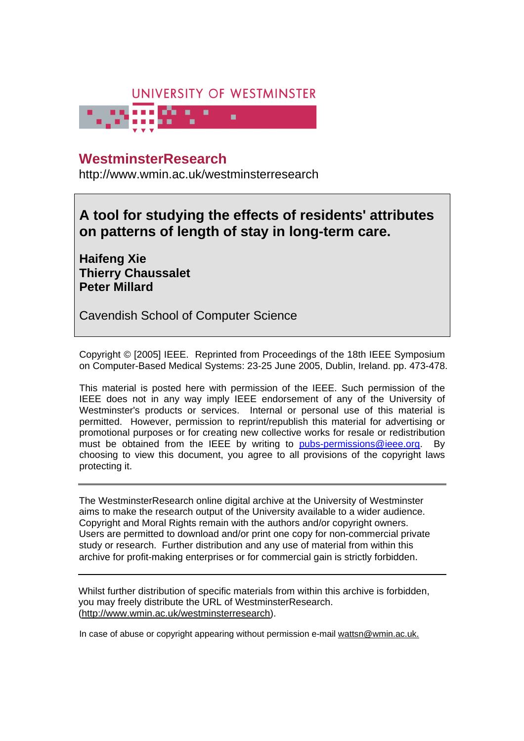

# **University of Westminster Eprints WestminsterResearch**

http://www.wmin.ac.uk/westminsterresearch

**A tool for studying the effects of residents' attributes on patterns of length of stay in long-term care.** 

**Haifeng Xie Thierry Chaussalet Peter Millard** 

Cavendish School of Computer Science

Copyright © [2005] IEEE. Reprinted from Proceedings of the 18th IEEE Symposium on Computer-Based Medical Systems: 23-25 June 2005, Dublin, Ireland. pp. 473-478.

This material is posted here with permission of the IEEE. Such permission of the IEEE does not in any way imply IEEE endorsement of any of the University of Westminster's products or services. Internal or personal use of this material is permitted. However, permission to reprint/republish this material for advertising or promotional purposes or for creating new collective works for resale or redistribution must be obtained from the IEEE by writing to pubs-permissions@ieee.org. By choosing to view this document, you agree to all provisions of the copyright laws protecting it.

The WestminsterResearch online digital archive at the University of Westminster aims to make the research output of the University available to a wider audience. Copyright and Moral Rights remain with the authors and/or copyright owners. Users are permitted to download and/or print one copy for non-commercial private Users are permitted to download and/or print one copy for non-commercial private study or research. Further distribution and any use of material from within this study or research. Further distribution and any use of material from within this archive for profit-making enterprises or for commercial gain is strictly forbidden. archive for profit-making enterprises or for commercial gain is strictly forbidden.

Whilst further distribution of specific materials from within this archive is forbidden, Whilst further distribution of specific materials from within this archive is forbidden, you may freely distribute the URL of WestminsterResearch. (http://www.wmin.ac.uk/westminsterresearch).

In case of abuse or copyright appearing without permission e-mail wattsn@wmin.ac.uk.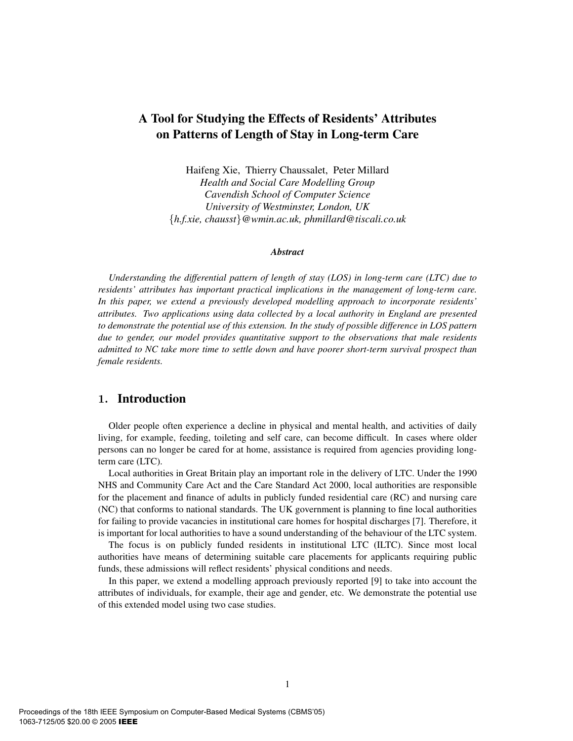# A Tool for Studying the Effects of Residents' Attributes on Patterns of Length of Stay in Long-term Care

Haifeng Xie, Thierry Chaussalet, Peter Millard *Health and Social Care Modelling Group Cavendish School of Computer Science University of Westminster, London, UK* {*h.f.xie, chausst*}*@wmin.ac.uk, phmillard@tiscali.co.uk*

#### *Abstract*

*Understanding the differential pattern of length of stay (LOS) in long-term care (LTC) due to residents' attributes has important practical implications in the management of long-term care. In this paper, we extend a previously developed modelling approach to incorporate residents' attributes. Two applications using data collected by a local authority in England are presented to demonstrate the potential use of this extension. In the study of possible difference in LOS pattern due to gender, our model provides quantitative support to the observations that male residents admitted to NC take more time to settle down and have poorer short-term survival prospect than female residents.*

# **1.** Introduction

Older people often experience a decline in physical and mental health, and activities of daily living, for example, feeding, toileting and self care, can become difficult. In cases where older persons can no longer be cared for at home, assistance is required from agencies providing longterm care (LTC).

Local authorities in Great Britain play an important role in the delivery of LTC. Under the 1990 NHS and Community Care Act and the Care Standard Act 2000, local authorities are responsible for the placement and finance of adults in publicly funded residential care (RC) and nursing care (NC) that conforms to national standards. The UK government is planning to fine local authorities for failing to provide vacancies in institutional care homes for hospital discharges [7]. Therefore, it is important for local authorities to have a sound understanding of the behaviour of the LTC system.

The focus is on publicly funded residents in institutional LTC (ILTC). Since most local authorities have means of determining suitable care placements for applicants requiring public funds, these admissions will reflect residents' physical conditions and needs.

In this paper, we extend a modelling approach previously reported [9] to take into account the attributes of individuals, for example, their age and gender, etc. We demonstrate the potential use of this extended model using two case studies.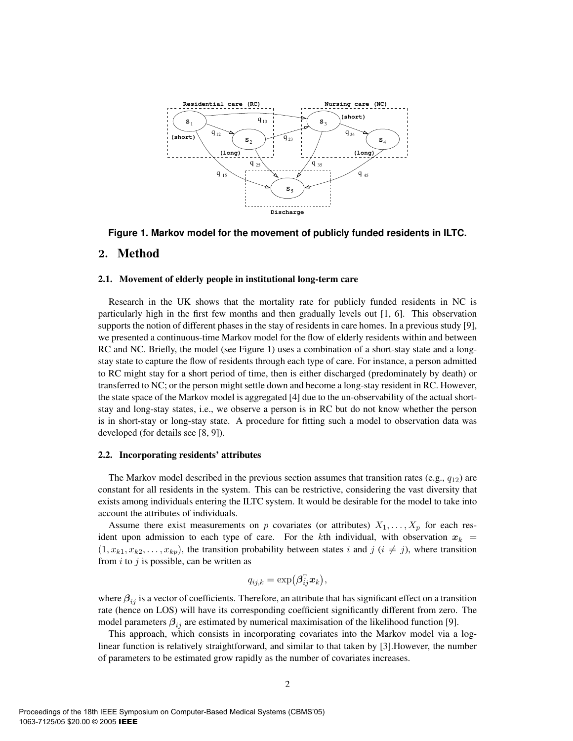

**Figure 1. Markov model for the movement of publicly funded residents in ILTC.**

## **2.** Method

#### 2.1. Movement of elderly people in institutional long-term care

Research in the UK shows that the mortality rate for publicly funded residents in NC is particularly high in the first few months and then gradually levels out [1, 6]. This observation supports the notion of different phases in the stay of residents in care homes. In a previous study [9], we presented a continuous-time Markov model for the flow of elderly residents within and between RC and NC. Briefly, the model (see Figure 1) uses a combination of a short-stay state and a longstay state to capture the flow of residents through each type of care. For instance, a person admitted to RC might stay for a short period of time, then is either discharged (predominately by death) or transferred to NC; or the person might settle down and become a long-stay resident in RC. However, the state space of the Markov model is aggregated [4] due to the un-observability of the actual shortstay and long-stay states, i.e., we observe a person is in RC but do not know whether the person is in short-stay or long-stay state. A procedure for fitting such a model to observation data was developed (for details see [8, 9]).

#### 2.2. Incorporating residents' attributes

The Markov model described in the previous section assumes that transition rates (e.g.,  $q_{12}$ ) are constant for all residents in the system. This can be restrictive, considering the vast diversity that exists among individuals entering the ILTC system. It would be desirable for the model to take into account the attributes of individuals.

Assume there exist measurements on p covariates (or attributes)  $X_1, \ldots, X_p$  for each resident upon admission to each type of care. For the kth individual, with observation  $x_k$  =  $(1, x_{k1}, x_{k2},...,x_{kp})$ , the transition probability between states i and j  $(i \neq j)$ , where transition from  $i$  to  $j$  is possible, can be written as

$$
q_{ij,k} = \exp\left(\boldsymbol{\beta}_{ij}^{\mathtt{T}}\boldsymbol{x}_k\right),
$$

where  $\beta_{ij}$  is a vector of coefficients. Therefore, an attribute that has significant effect on a transition rate (hence on LOS) will have its corresponding coefficient significantly different from zero. The model parameters  $\beta_{ij}$  are estimated by numerical maximisation of the likelihood function [9].

This approach, which consists in incorporating covariates into the Markov model via a loglinear function is relatively straightforward, and similar to that taken by [3].However, the number of parameters to be estimated grow rapidly as the number of covariates increases.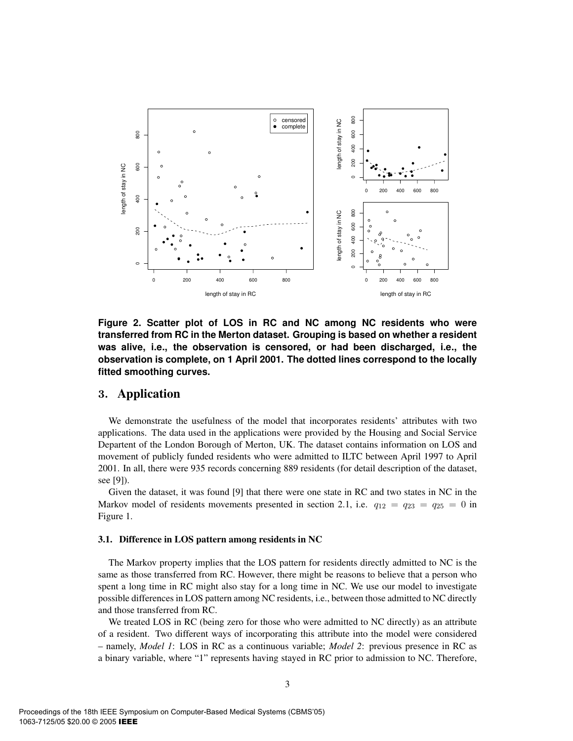

**Figure 2. Scatter plot of LOS in RC and NC among NC residents who were transferred from RC in the Merton dataset. Grouping is based on whether a resident was alive, i.e., the observation is censored, or had been discharged, i.e., the observation is complete, on 1 April 2001. The dotted lines correspond to the locally fitted smoothing curves.**

## **3.** Application

We demonstrate the usefulness of the model that incorporates residents' attributes with two applications. The data used in the applications were provided by the Housing and Social Service Departent of the London Borough of Merton, UK. The dataset contains information on LOS and movement of publicly funded residents who were admitted to ILTC between April 1997 to April 2001. In all, there were 935 records concerning 889 residents (for detail description of the dataset, see [9]).

Given the dataset, it was found [9] that there were one state in RC and two states in NC in the Markov model of residents movements presented in section 2.1, i.e.  $q_{12} = q_{23} = q_{25} = 0$  in Figure 1.

### 3.1. Difference in LOS pattern among residents in NC

The Markov property implies that the LOS pattern for residents directly admitted to NC is the same as those transferred from RC. However, there might be reasons to believe that a person who spent a long time in RC might also stay for a long time in NC. We use our model to investigate possible differences in LOS pattern among NC residents, i.e., between those admitted to NC directly and those transferred from RC.

We treated LOS in RC (being zero for those who were admitted to NC directly) as an attribute of a resident. Two different ways of incorporating this attribute into the model were considered – namely, *Model 1*: LOS in RC as a continuous variable; *Model 2*: previous presence in RC as a binary variable, where "1" represents having stayed in RC prior to admission to NC. Therefore,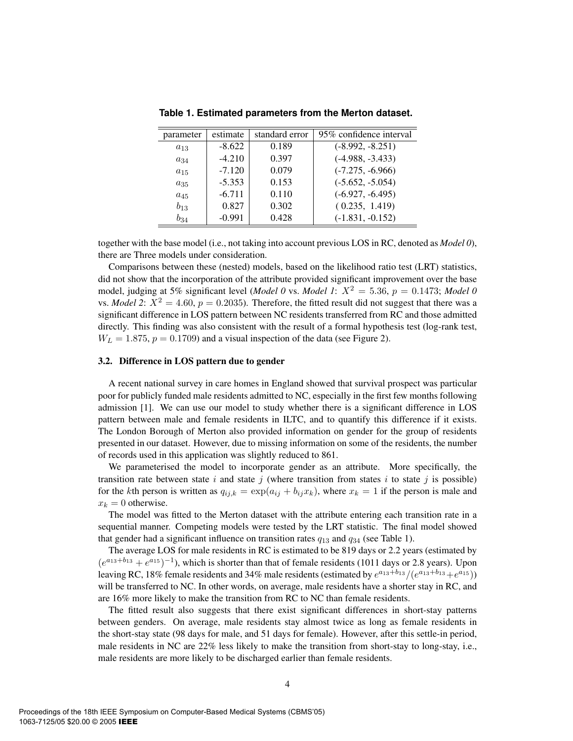| parameter | estimate | standard error | 95% confidence interval |
|-----------|----------|----------------|-------------------------|
| $a_{13}$  | $-8.622$ | 0.189          | $(-8.992, -8.251)$      |
| $a_{34}$  | $-4.210$ | 0.397          | $(-4.988, -3.433)$      |
| $a_{15}$  | $-7.120$ | 0.079          | $(-7.275, -6.966)$      |
| $a_{35}$  | $-5.353$ | 0.153          | $(-5.652, -5.054)$      |
| $a_{45}$  | $-6.711$ | 0.110          | $(-6.927, -6.495)$      |
| $b_{13}$  | 0.827    | 0.302          | (0.235, 1.419)          |
| $b_{34}$  | $-0.991$ | 0.428          | $(-1.831, -0.152)$      |

**Table 1. Estimated parameters from the Merton dataset.**

together with the base model (i.e., not taking into account previous LOS in RC, denoted as *Model 0*), there are Three models under consideration.

Comparisons between these (nested) models, based on the likelihood ratio test (LRT) statistics, did not show that the incorporation of the attribute provided significant improvement over the base model, judging at 5% significant level (*Model 0* vs. *Model 1*:  $X^2 = 5.36$ ,  $p = 0.1473$ ; *Model 0* vs. *Model 2*:  $X^2 = 4.60$ ,  $p = 0.2035$ ). Therefore, the fitted result did not suggest that there was a significant difference in LOS pattern between NC residents transferred from RC and those admitted directly. This finding was also consistent with the result of a formal hypothesis test (log-rank test,  $W_L = 1.875$ ,  $p = 0.1709$ ) and a visual inspection of the data (see Figure 2).

## 3.2. Difference in LOS pattern due to gender

A recent national survey in care homes in England showed that survival prospect was particular poor for publicly funded male residents admitted to NC, especially in the first few months following admission [1]. We can use our model to study whether there is a significant difference in LOS pattern between male and female residents in ILTC, and to quantify this difference if it exists. The London Borough of Merton also provided information on gender for the group of residents presented in our dataset. However, due to missing information on some of the residents, the number of records used in this application was slightly reduced to 861.

We parameterised the model to incorporate gender as an attribute. More specifically, the transition rate between state i and state j (where transition from states i to state j is possible) for the kth person is written as  $q_{ij,k} = \exp(a_{ij} + b_{ij}x_k)$ , where  $x_k = 1$  if the person is male and  $x_k = 0$  otherwise.

The model was fitted to the Merton dataset with the attribute entering each transition rate in a sequential manner. Competing models were tested by the LRT statistic. The final model showed that gender had a significant influence on transition rates  $q_{13}$  and  $q_{34}$  (see Table 1).

The average LOS for male residents in RC is estimated to be 819 days or 2.2 years (estimated by  $(e^{a_{13}+b_{13}}+e^{a_{15}})^{-1}$ , which is shorter than that of female residents (1011 days or 2.8 years). Upon leaving RC, 18% female residents and 34% male residents (estimated by  $e^{a_{13}+b_{13}}/(e^{a_{13}+b_{13}}+e^{a_{15}})$ ) will be transferred to NC. In other words, on average, male residents have a shorter stay in RC, and are 16% more likely to make the transition from RC to NC than female residents.

The fitted result also suggests that there exist significant differences in short-stay patterns between genders. On average, male residents stay almost twice as long as female residents in the short-stay state (98 days for male, and 51 days for female). However, after this settle-in period, male residents in NC are 22% less likely to make the transition from short-stay to long-stay, i.e., male residents are more likely to be discharged earlier than female residents.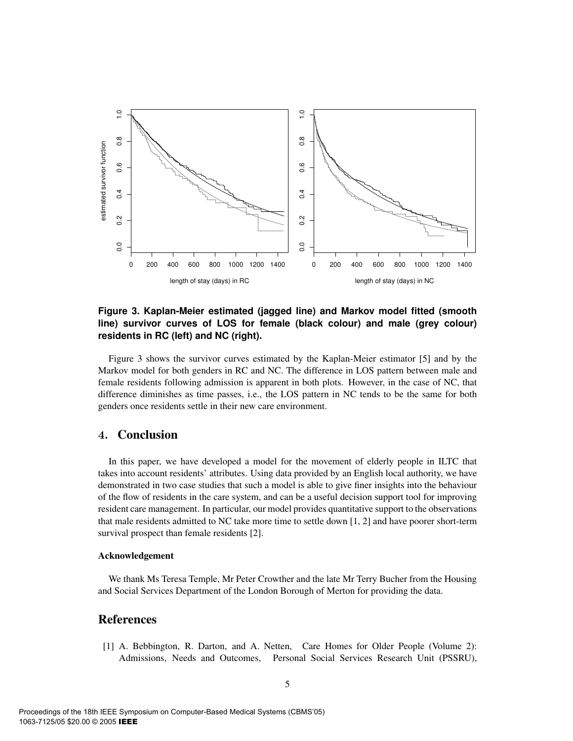

## **Figure 3. Kaplan-Meier estimated (jagged line) and Markov model fitted (smooth line) survivor curves of LOS for female (black colour) and male (grey colour) residents in RC (left) and NC (right).**

Figure 3 shows the survivor curves estimated by the Kaplan-Meier estimator [5] and by the Markov model for both genders in RC and NC. The difference in LOS pattern between male and female residents following admission is apparent in both plots. However, in the case of NC, that difference diminishes as time passes, i.e., the LOS pattern in NC tends to be the same for both genders once residents settle in their new care environment.

## **4.** Conclusion

In this paper, we have developed a model for the movement of elderly people in ILTC that takes into account residents' attributes. Using data provided by an English local authority, we have demonstrated in two case studies that such a model is able to give finer insights into the behaviour of the flow of residents in the care system, and can be a useful decision support tool for improving resident care management. In particular, our model provides quantitative support to the observations that male residents admitted to NC take more time to settle down [1, 2] and have poorer short-term survival prospect than female residents [2].

#### Acknowledgement

We thank Ms Teresa Temple, Mr Peter Crowther and the late Mr Terry Bucher from the Housing and Social Services Department of the London Borough of Merton for providing the data.

# References

[1] A. Bebbington, R. Darton, and A. Netten, Care Homes for Older People (Volume 2): Admissions, Needs and Outcomes, Personal Social Services Research Unit (PSSRU),